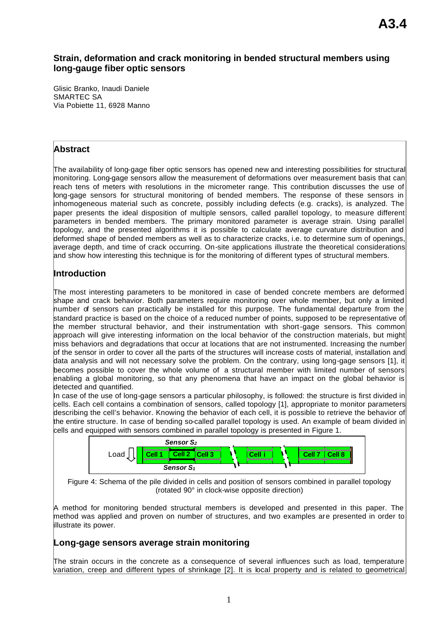## **Strain, deformation and crack monitoring in bended structural members using long-gauge fiber optic sensors**

Glisic Branko, Inaudi Daniele SMARTEC SA Via Pobiette 11, 6928 Manno

### **Abstract**

The availability of long-gage fiber optic sensors has opened new and interesting possibilities for structural monitoring. Long-gage sensors allow the measurement of deformations over measurement basis that can reach tens of meters with resolutions in the micrometer range. This contribution discusses the use of long-gage sensors for structural monitoring of bended members. The response of these sensors in inhomogeneous material such as concrete, possibly including defects (e.g. cracks), is analyzed. The paper presents the ideal disposition of multiple sensors, called parallel topology, to measure different parameters in bended members. The primary monitored parameter is average strain. Using parallel topology, and the presented algorithms it is possible to calculate average curvature distribution and deformed shape of bended members as well as to characterize cracks, i.e. to determine sum of openings, average depth, and time of crack occurring. On-site applications illustrate the theoretical considerations and show how interesting this technique is for the monitoring of different types of structural members.

## **Introduction**

The most interesting parameters to be monitored in case of bended concrete members are deformed shape and crack behavior. Both parameters require monitoring over whole member, but only a limited number of sensors can practically be installed for this purpose. The fundamental departure from the standard practice is based on the choice of a reduced number of points, supposed to be representative of the member structural behavior, and their instrumentation with short-gage sensors. This common approach will give interesting information on the local behavior of the construction materials, but might miss behaviors and degradations that occur at locations that are not instrumented. Increasing the number of the sensor in order to cover all the parts of the structures will increase costs of material, installation and data analysis and will not necessary solve the problem. On the contrary, using long-gage sensors [1], it becomes possible to cover the whole volume of a structural member with limited number of sensors enabling a global monitoring, so that any phenomena that have an impact on the global behavior is detected and quantified.

In case of the use of long-gage sensors a particular philosophy, is followed: the structure is first divided in cells. Each cell contains a combination of sensors, called topology [1], appropriate to monitor parameters describing the cell's behavior. Knowing the behavior of each cell, it is possible to retrieve the behavior of the entire structure. In case of bending so-called parallel topology is used. An example of beam divided in cells and equipped with sensors combined in parallel topology is presented in Figure 1.





A method for monitoring bended structural members is developed and presented in this paper. The method was applied and proven on number of structures, and two examples are presented in order to illustrate its power.

## **Long-gage sensors average strain monitoring**

The strain occurs in the concrete as a consequence of several influences such as load, temperature variation, creep and different types of shrinkage [2]. It is local property and is related to geometrical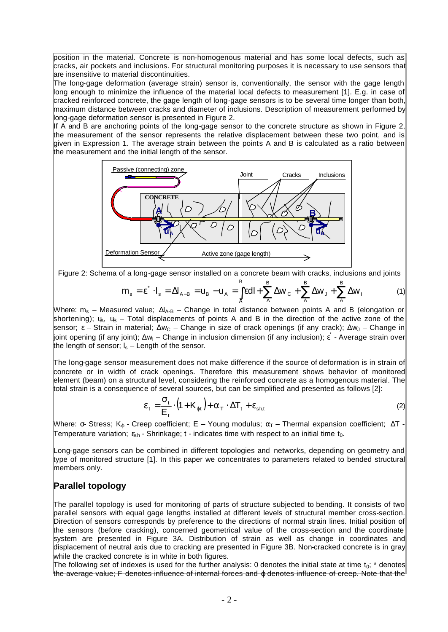position in the material. Concrete is non-homogenous material and has some local defects, such as cracks, air pockets and inclusions. For structural monitoring purposes it is necessary to use sensors that are insensitive to material discontinuities.

The long-gage deformation (average strain) sensor is, conventionally, the sensor with the gage length long enough to minimize the influence of the material local defects to measurement [1]. E.g. in case of cracked reinforced concrete, the gage length of long-gage sensors is to be several time longer than both, maximum distance between cracks and diameter of inclusions. Description of measurement performed by long-gage deformation sensor is presented in Figure 2.

If A and B are anchoring points of the long-gage sensor to the concrete structure as shown in Figure 2, the measurement of the sensor represents the relative displacement between these two point, and is given in Expression 1. The average strain between the points A and B is calculated as a ratio between the measurement and the initial length of the sensor.



Figure 2: Schema of a long-gage sensor installed on a concrete beam with cracks, inclusions and joints

$$
m_s = \varepsilon^* \cdot I_s = \Delta I_{A-B} = u_B - u_A = \int_A^B \varepsilon dI + \sum_A^B \Delta w_C + \sum_A^B \Delta w_J + \sum_A^B \Delta w_I \tag{1}
$$

Where:  $m_s$  – Measured value;  $\Delta I_{A-B}$  – Change in total distance between points A and B (elongation or shortening);  $u_A$ ,  $u_B$  – Total displacements of points A and B in the direction of the active zone of the sensor;  $\epsilon$  – Strain in material;  $\Delta w_C$  – Change in size of crack openings (if any crack);  $\Delta w_J$  – Change in joint opening (if any joint); Δw<sub>I</sub> – Change in inclusion dimension (if any inclusion); ε - Average strain over the length of sensor;  $I_s$  – Length of the sensor.

The long-gage sensor measurement does not make difference if the source of deformation is in strain of concrete or in width of crack openings. Therefore this measurement shows behavior of monitored element (beam) on a structural level, considering the reinforced concrete as a homogenous material. The total strain is a consequence of several sources, but can be simplified and presented as follows [2]:

$$
\varepsilon_{t} = \frac{\sigma_{t}}{E_{t}} \cdot (1 + K_{\varphi t}) + \alpha_{\tau} \cdot \Delta T_{t} + \varepsilon_{\text{sh},t}
$$
\n(2)

Where:  $\sigma$ - Stress; K<sub>o</sub> - Creep coefficient; E – Young modulus;  $\alpha_T$  – Thermal expansion coefficient;  $\Delta T$  -Temperature variation;  $\varepsilon_{\rm sh}$  - Shrinkage; t - indicates time with respect to an initial time  $t_0$ .

Long-gage sensors can be combined in different topologies and networks, depending on geometry and type of monitored structure [1]. In this paper we concentrates to parameters related to bended structural members only.

## **Parallel topology**

The parallel topology is used for monitoring of parts of structure subjected to bending. It consists of two parallel sensors with equal gage lengths installed at different levels of structural member cross-section. Direction of sensors corresponds by preference to the directions of normal strain lines. Initial position of the sensors (before cracking), concerned geometrical value of the cross-section and the coordinate system are presented in Figure 3A. Distribution of strain as well as change in coordinates and displacement of neutral axis due to cracking are presented in Figure 3B. Non-cracked concrete is in gray while the cracked concrete is in white in both figures.

The following set of indexes is used for the further analysis: 0 denotes the initial state at time  $t_0$ ;  $*$  denotes the average value; F denotes influence of internal forces and *⊕* denotes influence of creep. Note that the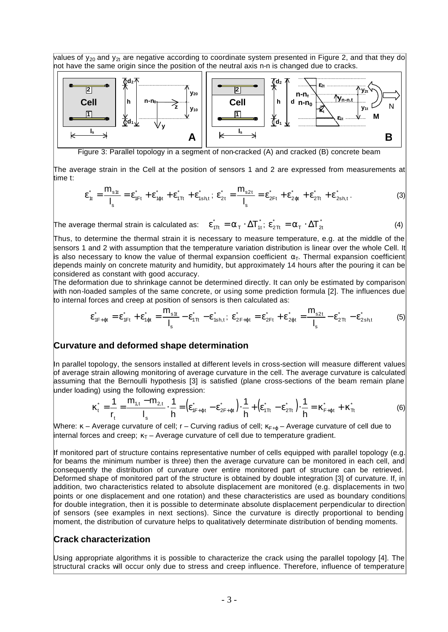values of  $y_{20}$  and  $y_{2t}$  are negative according to coordinate system presented in Figure 2, and that they do not have the same origin since the position of the neutral axis n-n is changed due to cracks.



Figure 3: Parallel topology in a segment of non-cracked (A) and cracked (B) concrete beam

The average strain in the Cell at the position of sensors 1 and 2 are expressed from measurements at time t:

$$
\varepsilon_{\text{t}}^* = \frac{m_{\text{st}}}{I_{\text{s}}} = \varepsilon_{\text{1F}t}^* + \varepsilon_{\text{1qt}}^* + \varepsilon_{\text{1T}t}^* + \varepsilon_{\text{1sht}}^*; \ \varepsilon_{\text{2t}}^* = \frac{m_{\text{s2t}}}{I_{\text{s}}} = \varepsilon_{\text{2F}t}^* + \varepsilon_{\text{2qt}}^* + \varepsilon_{\text{2T}t}^* + \varepsilon_{\text{2sht}}^*.
$$

The average thermal strain is calculated as:  $\epsilon_{\text{1}t}^* = \alpha_{\text{\tiny T}} \cdot \Delta T_{\text{1}t}^*$  $\varepsilon_{1\text{TL}}^* = \alpha_{\text{TL}} \cdot \Delta T_{1\text{t}}^*$ ;  $\varepsilon_{2\text{TL}}^* = \alpha_{\text{TL}} \cdot \Delta T_2^*$  $T \stackrel{\cdot}{\rightharpoonup} \mathbf{1}$  2t  $\varepsilon_{2\text{Tr}}^* = \alpha_{\text{T}} \cdot \Delta T_{2\text{t}}^*$  (4)

Thus, to determine the thermal strain it is necessary to measure temperature, e.g. at the middle of the sensors 1 and 2 with assumption that the temperature variation distribution is linear over the whole Cell. It is also necessary to know the value of thermal expansion coefficient  $\alpha$ <sub>τ</sub>. Thermal expansion coefficient depends mainly on concrete maturity and humidity, but approximately 14 hours after the pouring it can be considered as constant with good accuracy.

The deformation due to shrinkage cannot be determined directly. It can only be estimated by comparison with non-loaded samples of the same concrete, or using some prediction formula [2]. The influences due to internal forces and creep at position of sensors is then calculated as:

$$
\varepsilon_{1F+\varphi t}^* = \varepsilon_{1Ft}^* + \varepsilon_{1\varphi t}^* = \frac{m_{s1t}}{I_s} - \varepsilon_{1Tt}^* - \varepsilon_{1s h,t}^*; \ \varepsilon_{2F+\varphi t}^* = \varepsilon_{2Ft}^* + \varepsilon_{2\varphi t}^* = \frac{m_{s2t}}{I_s} - \varepsilon_{2Tt}^* - \varepsilon_{2s h,t}^* \tag{5}
$$

#### **Curvature and deformed shape determination**

In parallel topology, the sensors installed at different levels in cross-section will measure different values of average strain allowing monitoring of average curvature in the cell. The average curvature is calculated assuming that the Bernoulli hypothesis [3] is satisfied (plane cross-sections of the beam remain plane under loading) using the following expression:

$$
\kappa_{t}^{*} = \frac{1}{r_{t}} = \frac{m_{1,t} - m_{2,t}}{I_{s}} \cdot \frac{1}{h} = \left(\varepsilon_{1F + \varphi t}^{*} - \varepsilon_{2F + \varphi t}^{*}\right) \cdot \frac{1}{h} + \left(\varepsilon_{1Tt}^{*} - \varepsilon_{2Tt}^{*}\right) \cdot \frac{1}{h} = \kappa_{F + \varphi t}^{*} + \kappa_{Tt}^{*}
$$
(6)

Where:  $\kappa$  – Average curvature of cell;  $r$  – Curving radius of cell;  $\kappa_{F+<sub>0</sub>}$  – Average curvature of cell due to internal forces and creep;  $\kappa_T$  – Average curvature of cell due to temperature gradient.

If monitored part of structure contains representative number of cells equipped with parallel topology (e.g. for beams the minimum number is three) then the average curvature can be monitored in each cell, and consequently the distribution of curvature over entire monitored part of structure can be retrieved. Deformed shape of monitored part of the structure is obtained by double integration [3] of curvature. If, in addition, two characteristics related to absolute displacement are monitored (e.g. displacements in two points or one displacement and one rotation) and these characteristics are used as boundary conditions for double integration, then it is possible to determinate absolute displacement perpendicular to direction of sensors (see examples in next sections). Since the curvature is directly proportional to bending moment, the distribution of curvature helps to qualitatively determinate distribution of bending moments.

#### **Crack characterization**

Using appropriate algorithms it is possible to characterize the crack using the parallel topology [4]. The structural cracks will occur only due to stress and creep influence. Therefore, influence of temperature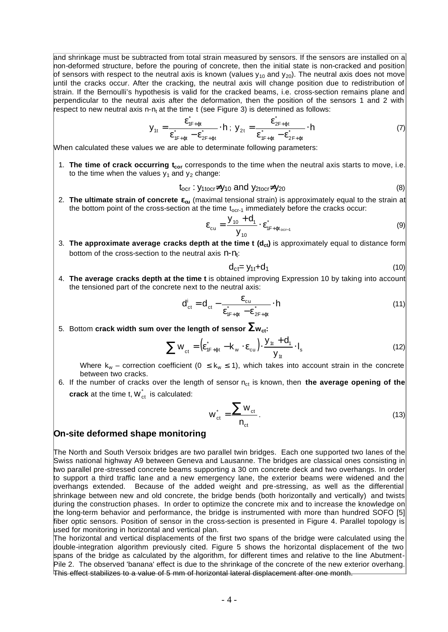and shrinkage must be subtracted from total strain measured by sensors. If the sensors are installed on a non-deformed structure, before the pouring of concrete, then the initial state is non-cracked and position of sensors with respect to the neutral axis is known (values  $y_{10}$  and  $y_{20}$ ). The neutral axis does not move until the cracks occur. After the cracking, the neutral axis will change position due to redistribution of strain. If the Bernoulli's hypothesis is valid for the cracked beams, i.e. cross-section remains plane and perpendicular to the neutral axis after the deformation, then the position of the sensors 1 and 2 with respect to new neutral axis n-n<sub>t</sub> at the time t (see Figure 3) is determined as follows:

$$
y_{1t} = \frac{\varepsilon_{1F+\varphi t}^{*}}{\varepsilon_{1F+\varphi t}^{*} - \varepsilon_{2F+\varphi t}^{*}} \cdot h \; ; \; y_{2t} = \frac{\varepsilon_{2F+\varphi t}^{*}}{\varepsilon_{1F+\varphi t}^{*} - \varepsilon_{2F+\varphi t}^{*}} \cdot h \tag{7}
$$

When calculated these values we are able to determinate following parameters:

1. **The time of crack occurring tcor** corresponds to the time when the neutral axis starts to move, i.e. to the time when the values  $y_1$  and  $y_2$  change:

$$
t_{ocr}: y_{1tor} \neq y_{10} \text{ and } y_{2tor} \neq y_{20}
$$
 (8)

2. **The ultimate strain of concrete ecu** (maximal tensional strain) is approximately equal to the strain at the bottom point of the cross-section at the time  $t_{ocr-1}$  immediately before the cracks occur:

$$
\varepsilon_{\rm cu} = \frac{y_{10} + d_1}{y_{10}} \cdot \varepsilon_{1F + \varphi t_{\rm ocf-1}}^* \tag{9}
$$

3. **The approximate average cracks depth at the time t (dct)** is approximately equal to distance form bottom of the cross-section to the neutral axis  $n - n_t$ :

$$
d_{ct} = y_{1t} + d_1 \tag{10}
$$

4. **The average cracks depth at the time t** is obtained improving Expression 10 by taking into account the tensioned part of the concrete next to the neutral axis:

$$
d_{\rm ct}^i = d_{\rm ct} - \frac{\varepsilon_{\rm cu}}{\varepsilon_{1F + \varphi t}^* - \varepsilon_{2F + \varphi t}^*} \cdot h \tag{11}
$$

5. Bottom **crack width sum over the length of sensor S<sup>w</sup>ct:**

$$
\sum w_{\rm ct} = \left(\varepsilon_{1F + \varphi t}^{*} - k_{\rm w} \cdot \varepsilon_{\rm cu}\right) \cdot \frac{y_{1t} + d_{1}}{y_{1t}} \cdot I_{\rm s}
$$
\n(12)

Where  $k_w$  – correction coefficient (0  $\leq$  k<sub>w</sub>  $\leq$  1), which takes into account strain in the concrete between two cracks.

6. If the number of cracks over the length of sensor n<sub>ct</sub> is known, then **the average opening of the crack** at the time t,  $W_{\text{ct}}$  is calculated:

$$
w_{\text{ct}}^* = \frac{\sum w_{\text{ct}}}{n_{\text{ct}}}.
$$
 (13)

#### **On-site deformed shape monitoring**

The North and South Versoix bridges are two parallel twin bridges. Each one supported two lanes of the Swiss national highway A9 between Geneva and Lausanne. The bridges are classical ones consisting in two parallel pre-stressed concrete beams supporting a 30 cm concrete deck and two overhangs. In order to support a third traffic lane and a new emergency lane, the exterior beams were widened and the overhangs extended. Because of the added weight and pre-stressing, as well as the differential shrinkage between new and old concrete, the bridge bends (both horizontally and vertically) and twists during the construction phases. In order to optimize the concrete mix and to increase the knowledge on the long-term behavior and performance, the bridge is instrumented with more than hundred SOFO [5] fiber optic sensors. Position of sensor in the cross-section is presented in Figure 4. Parallel topology is used for monitoring in horizontal and vertical plan.

The horizontal and vertical displacements of the first two spans of the bridge were calculated using the double-integration algorithm previously cited. Figure 5 shows the horizontal displacement of the two spans of the bridge as calculated by the algorithm, for different times and relative to the line Abutment-Pile 2. The observed 'banana' effect is due to the shrinkage of the concrete of the new exterior overhang. This effect stabilizes to a value of 5 mm of horizontal lateral displacement after one month.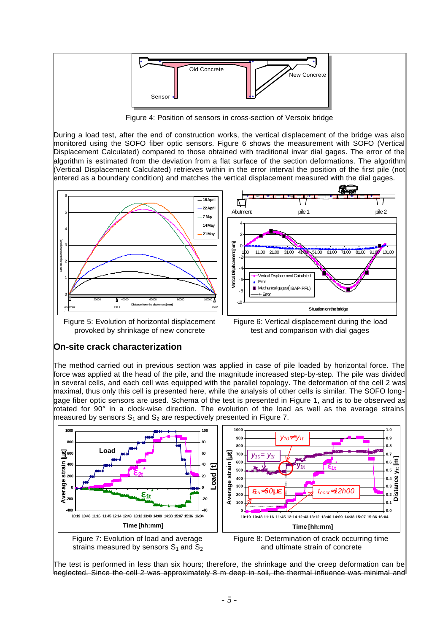

Figure 4: Position of sensors in cross-section of Versoix bridge

During a load test, after the end of construction works, the vertical displacement of the bridge was also monitored using the SOFO fiber optic sensors. Figure 6 shows the measurement with SOFO (Vertical Displacement Calculated) compared to those obtained with traditional invar dial gages. The error of the algorithm is estimated from the deviation from a flat surface of the section deformations. The algorithm (Vertical Displacement Calculated) retrieves within in the error interval the position of the first pile (not entered as a boundary condition) and matches the vertical displacement measured with the dial gages.



Figure 5: Evolution of horizontal displacement provoked by shrinkage of new concrete

Figure 6: Vertical displacement during the load test and comparison with dial gages

## **On-site crack characterization**

The method carried out in previous section was applied in case of pile loaded by horizontal force. The force was applied at the head of the pile, and the magnitude increased step-by-step. The pile was divided in several cells, and each cell was equipped with the parallel topology. The deformation of the cell 2 was maximal, thus only this cell is presented here, while the analysis of other cells is similar. The SOFO longgage fiber optic sensors are used. Schema of the test is presented in Figure 1, and is to be observed as rotated for 90° in a clock-wise direction. The evolution of the load as well as the average strains measured by sensors  $S_1$  and  $S_2$  are respectively presented in Figure 7.



The test is performed in less than six hours; therefore, the shrinkage and the creep deformation can be neglected. Since the cell 2 was approximately 8 m deep in soil, the thermal influence was minimal and